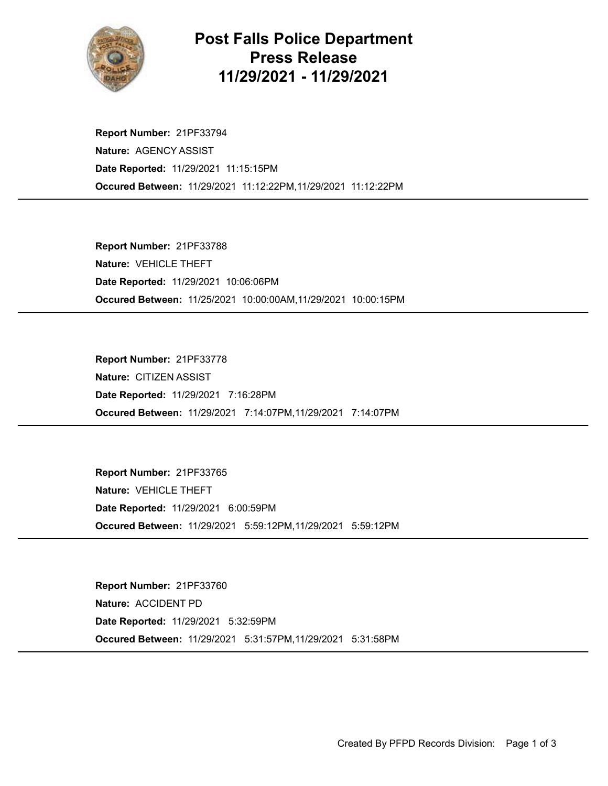

## Post Falls Police Department Press Release 11/29/2021 - 11/29/2021

Occured Between: 11/29/2021 11:12:22PM,11/29/2021 11:12:22PM Report Number: 21PF33794 Nature: AGENCY ASSIST Date Reported: 11/29/2021 11:15:15PM

Occured Between: 11/25/2021 10:00:00AM,11/29/2021 10:00:15PM Report Number: 21PF33788 Nature: VEHICLE THEFT Date Reported: 11/29/2021 10:06:06PM

Occured Between: 11/29/2021 7:14:07PM,11/29/2021 7:14:07PM Report Number: 21PF33778 Nature: CITIZEN ASSIST Date Reported: 11/29/2021 7:16:28PM

Occured Between: 11/29/2021 5:59:12PM,11/29/2021 5:59:12PM Report Number: 21PF33765 Nature: VEHICLE THEFT Date Reported: 11/29/2021 6:00:59PM

Occured Between: 11/29/2021 5:31:57PM,11/29/2021 5:31:58PM Report Number: 21PF33760 Nature: ACCIDENT PD Date Reported: 11/29/2021 5:32:59PM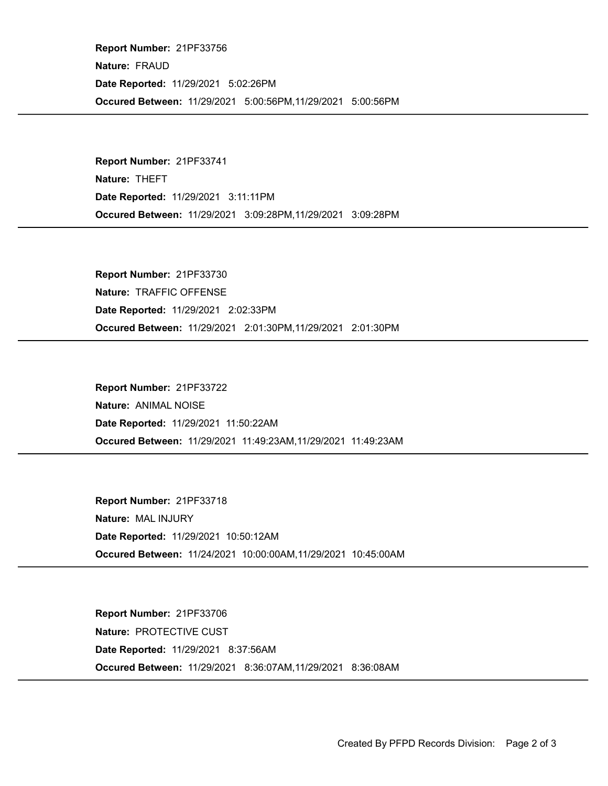Occured Between: 11/29/2021 5:00:56PM,11/29/2021 5:00:56PM Report Number: 21PF33756 Nature: FRAUD Date Reported: 11/29/2021 5:02:26PM

Occured Between: 11/29/2021 3:09:28PM,11/29/2021 3:09:28PM Report Number: 21PF33741 Nature: THEFT Date Reported: 11/29/2021 3:11:11PM

Occured Between: 11/29/2021 2:01:30PM,11/29/2021 2:01:30PM Report Number: 21PF33730 Nature: TRAFFIC OFFENSE Date Reported: 11/29/2021 2:02:33PM

Occured Between: 11/29/2021 11:49:23AM,11/29/2021 11:49:23AM Report Number: 21PF33722 Nature: ANIMAL NOISE Date Reported: 11/29/2021 11:50:22AM

Occured Between: 11/24/2021 10:00:00AM,11/29/2021 10:45:00AM Report Number: 21PF33718 Nature: MAL INJURY Date Reported: 11/29/2021 10:50:12AM

Occured Between: 11/29/2021 8:36:07AM,11/29/2021 8:36:08AM Report Number: 21PF33706 Nature: PROTECTIVE CUST Date Reported: 11/29/2021 8:37:56AM